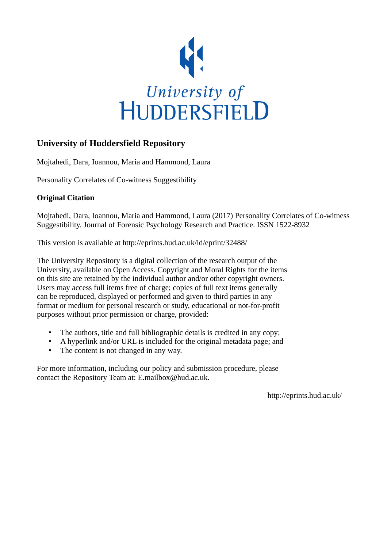

## **University of Huddersfield Repository**

Mojtahedi, Dara, Ioannou, Maria and Hammond, Laura

Personality Correlates of Co-witness Suggestibility

### **Original Citation**

Mojtahedi, Dara, Ioannou, Maria and Hammond, Laura (2017) Personality Correlates of Co-witness Suggestibility. Journal of Forensic Psychology Research and Practice. ISSN 1522-8932

This version is available at http://eprints.hud.ac.uk/id/eprint/32488/

The University Repository is a digital collection of the research output of the University, available on Open Access. Copyright and Moral Rights for the items on this site are retained by the individual author and/or other copyright owners. Users may access full items free of charge; copies of full text items generally can be reproduced, displayed or performed and given to third parties in any format or medium for personal research or study, educational or not-for-profit purposes without prior permission or charge, provided:

- The authors, title and full bibliographic details is credited in any copy;
- A hyperlink and/or URL is included for the original metadata page; and
- The content is not changed in any way.

For more information, including our policy and submission procedure, please contact the Repository Team at: E.mailbox@hud.ac.uk.

http://eprints.hud.ac.uk/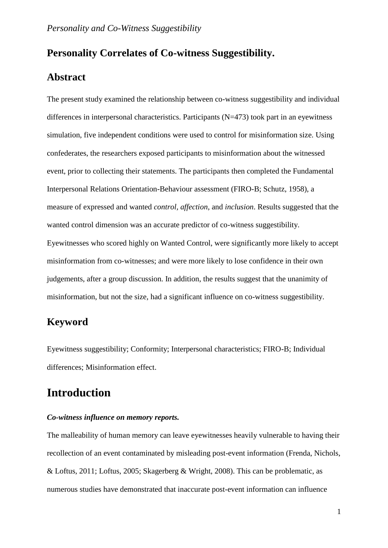## **Personality Correlates of Co-witness Suggestibility.**

# **Abstract**

The present study examined the relationship between co-witness suggestibility and individual differences in interpersonal characteristics. Participants (N=473) took part in an eyewitness simulation, five independent conditions were used to control for misinformation size. Using confederates, the researchers exposed participants to misinformation about the witnessed event, prior to collecting their statements. The participants then completed the Fundamental Interpersonal Relations Orientation-Behaviour assessment (FIRO-B; Schutz, 1958), a measure of expressed and wanted *control, affection*, and *inclusion*. Results suggested that the wanted control dimension was an accurate predictor of co-witness suggestibility. Eyewitnesses who scored highly on Wanted Control, were significantly more likely to accept misinformation from co-witnesses; and were more likely to lose confidence in their own judgements, after a group discussion. In addition, the results suggest that the unanimity of misinformation, but not the size, had a significant influence on co-witness suggestibility.

## **Keyword**

Eyewitness suggestibility; Conformity; Interpersonal characteristics; FIRO-B; Individual differences; Misinformation effect.

# **Introduction**

### *Co-witness influence on memory reports.*

The malleability of human memory can leave eyewitnesses heavily vulnerable to having their recollection of an event contaminated by misleading post-event information (Frenda, Nichols, & Loftus, 2011; Loftus, 2005; Skagerberg & Wright, 2008). This can be problematic, as numerous studies have demonstrated that inaccurate post-event information can influence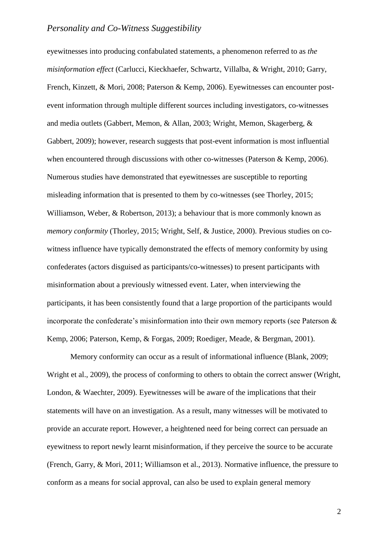eyewitnesses into producing confabulated statements, a phenomenon referred to as *the misinformation effect* (Carlucci, Kieckhaefer, Schwartz, Villalba, & Wright, 2010; Garry, French, Kinzett, & Mori, 2008; Paterson & Kemp, 2006). Eyewitnesses can encounter postevent information through multiple different sources including investigators, co-witnesses and media outlets (Gabbert, Memon, & Allan, 2003; Wright, Memon, Skagerberg, & Gabbert, 2009); however, research suggests that post-event information is most influential when encountered through discussions with other co-witnesses (Paterson & Kemp, 2006). Numerous studies have demonstrated that eyewitnesses are susceptible to reporting misleading information that is presented to them by co-witnesses (see Thorley, 2015; Williamson, Weber, & Robertson, 2013); a behaviour that is more commonly known as *memory conformity* (Thorley, 2015; Wright, Self, & Justice, 2000). Previous studies on cowitness influence have typically demonstrated the effects of memory conformity by using confederates (actors disguised as participants/co-witnesses) to present participants with misinformation about a previously witnessed event. Later, when interviewing the participants, it has been consistently found that a large proportion of the participants would incorporate the confederate's misinformation into their own memory reports (see Paterson & Kemp, 2006; Paterson, Kemp, & Forgas, 2009; Roediger, Meade, & Bergman, 2001).

Memory conformity can occur as a result of informational influence (Blank, 2009; Wright et al., 2009), the process of conforming to others to obtain the correct answer (Wright, London, & Waechter, 2009). Eyewitnesses will be aware of the implications that their statements will have on an investigation. As a result, many witnesses will be motivated to provide an accurate report. However, a heightened need for being correct can persuade an eyewitness to report newly learnt misinformation, if they perceive the source to be accurate (French, Garry, & Mori, 2011; Williamson et al., 2013). Normative influence, the pressure to conform as a means for social approval, can also be used to explain general memory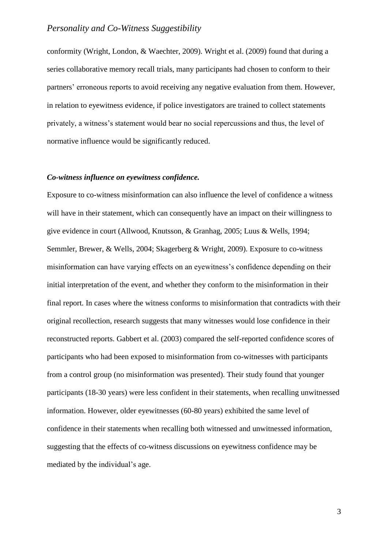conformity (Wright, London, & Waechter, 2009). Wright et al. (2009) found that during a series collaborative memory recall trials, many participants had chosen to conform to their partners' erroneous reports to avoid receiving any negative evaluation from them. However, in relation to eyewitness evidence, if police investigators are trained to collect statements privately, a witness's statement would bear no social repercussions and thus, the level of normative influence would be significantly reduced.

#### *Co-witness influence on eyewitness confidence.*

Exposure to co-witness misinformation can also influence the level of confidence a witness will have in their statement, which can consequently have an impact on their willingness to give evidence in court (Allwood, Knutsson, & Granhag, 2005; Luus & Wells, 1994; Semmler, Brewer, & Wells, 2004; Skagerberg & Wright, 2009). Exposure to co-witness misinformation can have varying effects on an eyewitness's confidence depending on their initial interpretation of the event, and whether they conform to the misinformation in their final report. In cases where the witness conforms to misinformation that contradicts with their original recollection, research suggests that many witnesses would lose confidence in their reconstructed reports. Gabbert et al. (2003) compared the self-reported confidence scores of participants who had been exposed to misinformation from co-witnesses with participants from a control group (no misinformation was presented). Their study found that younger participants (18-30 years) were less confident in their statements, when recalling unwitnessed information. However, older eyewitnesses (60-80 years) exhibited the same level of confidence in their statements when recalling both witnessed and unwitnessed information, suggesting that the effects of co-witness discussions on eyewitness confidence may be mediated by the individual's age.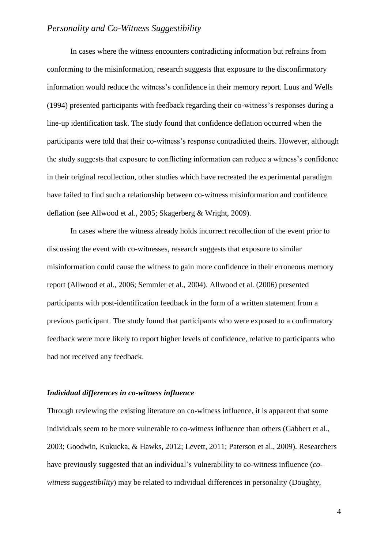In cases where the witness encounters contradicting information but refrains from conforming to the misinformation, research suggests that exposure to the disconfirmatory information would reduce the witness's confidence in their memory report. Luus and Wells (1994) presented participants with feedback regarding their co-witness's responses during a line-up identification task. The study found that confidence deflation occurred when the participants were told that their co-witness's response contradicted theirs. However, although the study suggests that exposure to conflicting information can reduce a witness's confidence in their original recollection, other studies which have recreated the experimental paradigm have failed to find such a relationship between co-witness misinformation and confidence deflation (see Allwood et al., 2005; Skagerberg & Wright, 2009).

In cases where the witness already holds incorrect recollection of the event prior to discussing the event with co-witnesses, research suggests that exposure to similar misinformation could cause the witness to gain more confidence in their erroneous memory report (Allwood et al., 2006; Semmler et al., 2004). Allwood et al. (2006) presented participants with post-identification feedback in the form of a written statement from a previous participant. The study found that participants who were exposed to a confirmatory feedback were more likely to report higher levels of confidence, relative to participants who had not received any feedback.

#### *Individual differences in co-witness influence*

Through reviewing the existing literature on co-witness influence, it is apparent that some individuals seem to be more vulnerable to co-witness influence than others (Gabbert et al., 2003; Goodwin, Kukucka, & Hawks, 2012; Levett, 2011; Paterson et al., 2009). Researchers have previously suggested that an individual's vulnerability to co-witness influence (*cowitness suggestibility*) may be related to individual differences in personality (Doughty,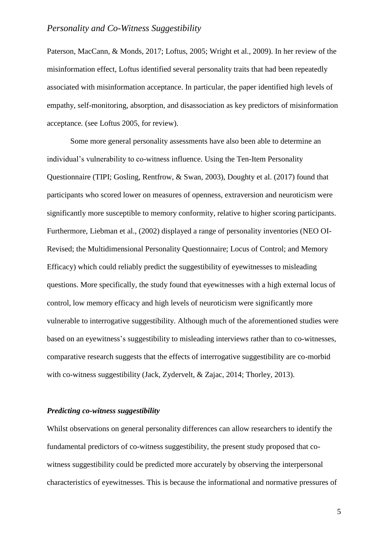Paterson, MacCann, & Monds, 2017; Loftus, 2005; Wright et al., 2009). In her review of the misinformation effect, Loftus identified several personality traits that had been repeatedly associated with misinformation acceptance. In particular, the paper identified high levels of empathy, self-monitoring, absorption, and disassociation as key predictors of misinformation acceptance*.* (see Loftus 2005, for review).

Some more general personality assessments have also been able to determine an individual's vulnerability to co-witness influence. Using the Ten-Item Personality Questionnaire (TIPI; Gosling, Rentfrow, & Swan, 2003), Doughty et al. (2017) found that participants who scored lower on measures of openness, extraversion and neuroticism were significantly more susceptible to memory conformity, relative to higher scoring participants. Furthermore, Liebman et al., (2002) displayed a range of personality inventories (NEO OI-Revised; the Multidimensional Personality Questionnaire; Locus of Control; and Memory Efficacy) which could reliably predict the suggestibility of eyewitnesses to misleading questions. More specifically, the study found that eyewitnesses with a high external locus of control, low memory efficacy and high levels of neuroticism were significantly more vulnerable to interrogative suggestibility. Although much of the aforementioned studies were based on an eyewitness's suggestibility to misleading interviews rather than to co-witnesses, comparative research suggests that the effects of interrogative suggestibility are co-morbid with co-witness suggestibility (Jack, Zydervelt, & Zajac, 2014; Thorley, 2013).

### *Predicting co-witness suggestibility*

Whilst observations on general personality differences can allow researchers to identify the fundamental predictors of co-witness suggestibility, the present study proposed that cowitness suggestibility could be predicted more accurately by observing the interpersonal characteristics of eyewitnesses. This is because the informational and normative pressures of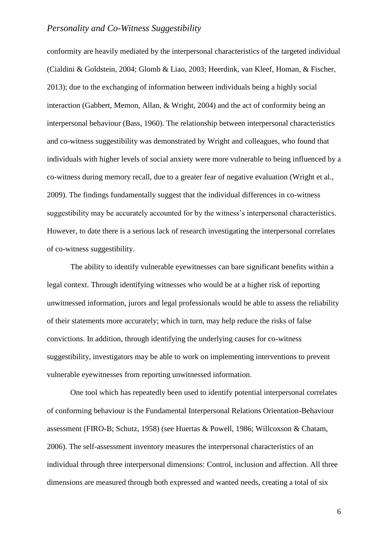conformity are heavily mediated by the interpersonal characteristics of the targeted individual (Cialdini & Goldstein, 2004; Glomb & Liao, 2003; Heerdink, van Kleef, Homan, & Fischer, 2013); due to the exchanging of information between individuals being a highly social interaction (Gabbert, Memon, Allan, & Wright, 2004) and the act of conformity being an interpersonal behaviour (Bass, 1960). The relationship between interpersonal characteristics and co-witness suggestibility was demonstrated by Wright and colleagues, who found that individuals with higher levels of social anxiety were more vulnerable to being influenced by a co-witness during memory recall, due to a greater fear of negative evaluation (Wright et al., 2009). The findings fundamentally suggest that the individual differences in co-witness suggestibility may be accurately accounted for by the witness's interpersonal characteristics. However, to date there is a serious lack of research investigating the interpersonal correlates of co-witness suggestibility.

The ability to identify vulnerable eyewitnesses can bare significant benefits within a legal context. Through identifying witnesses who would be at a higher risk of reporting unwitnessed information, jurors and legal professionals would be able to assess the reliability of their statements more accurately; which in turn, may help reduce the risks of false convictions. In addition, through identifying the underlying causes for co-witness suggestibility, investigators may be able to work on implementing interventions to prevent vulnerable eyewitnesses from reporting unwitnessed information.

One tool which has repeatedly been used to identify potential interpersonal correlates of conforming behaviour is the Fundamental Interpersonal Relations Orientation-Behaviour assessment (FIRO-B; Schutz, 1958) (see Huertas & Powell, 1986; Willcoxson & Chatam, 2006). The self-assessment inventory measures the interpersonal characteristics of an individual through three interpersonal dimensions: Control, inclusion and affection. All three dimensions are measured through both expressed and wanted needs, creating a total of six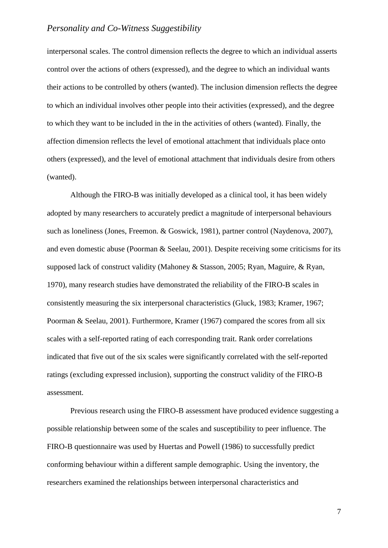interpersonal scales. The control dimension reflects the degree to which an individual asserts control over the actions of others (expressed), and the degree to which an individual wants their actions to be controlled by others (wanted). The inclusion dimension reflects the degree to which an individual involves other people into their activities (expressed), and the degree to which they want to be included in the in the activities of others (wanted). Finally, the affection dimension reflects the level of emotional attachment that individuals place onto others (expressed), and the level of emotional attachment that individuals desire from others (wanted).

Although the FIRO-B was initially developed as a clinical tool, it has been widely adopted by many researchers to accurately predict a magnitude of interpersonal behaviours such as loneliness (Jones, Freemon. & Goswick, 1981), partner control (Naydenova, 2007), and even domestic abuse (Poorman & Seelau, 2001). Despite receiving some criticisms for its supposed lack of construct validity (Mahoney & Stasson, 2005; Ryan, Maguire, & Ryan, 1970), many research studies have demonstrated the reliability of the FIRO-B scales in consistently measuring the six interpersonal characteristics (Gluck, 1983; Kramer, 1967; Poorman & Seelau, 2001). Furthermore, Kramer (1967) compared the scores from all six scales with a self-reported rating of each corresponding trait. Rank order correlations indicated that five out of the six scales were significantly correlated with the self-reported ratings (excluding expressed inclusion), supporting the construct validity of the FIRO-B assessment.

Previous research using the FIRO-B assessment have produced evidence suggesting a possible relationship between some of the scales and susceptibility to peer influence. The FIRO-B questionnaire was used by Huertas and Powell (1986) to successfully predict conforming behaviour within a different sample demographic. Using the inventory, the researchers examined the relationships between interpersonal characteristics and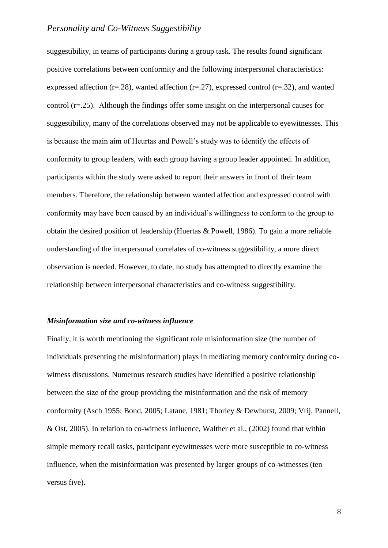suggestibility, in teams of participants during a group task. The results found significant positive correlations between conformity and the following interpersonal characteristics: expressed affection ( $r=28$ ), wanted affection ( $r=27$ ), expressed control ( $r=32$ ), and wanted control (r=.25). Although the findings offer some insight on the interpersonal causes for suggestibility, many of the correlations observed may not be applicable to eyewitnesses. This is because the main aim of Heurtas and Powell's study was to identify the effects of conformity to group leaders, with each group having a group leader appointed. In addition, participants within the study were asked to report their answers in front of their team members. Therefore, the relationship between wanted affection and expressed control with conformity may have been caused by an individual's willingness to conform to the group to obtain the desired position of leadership (Huertas & Powell, 1986). To gain a more reliable understanding of the interpersonal correlates of co-witness suggestibility, a more direct observation is needed. However, to date, no study has attempted to directly examine the relationship between interpersonal characteristics and co-witness suggestibility.

#### *Misinformation size and co-witness influence*

Finally, it is worth mentioning the significant role misinformation size (the number of individuals presenting the misinformation) plays in mediating memory conformity during cowitness discussions. Numerous research studies have identified a positive relationship between the size of the group providing the misinformation and the risk of memory conformity (Asch 1955; Bond, 2005; Latane, 1981; Thorley & Dewhurst, 2009; Vrij, Pannell, & Ost, 2005). In relation to co-witness influence, Walther et al., (2002) found that within simple memory recall tasks, participant eyewitnesses were more susceptible to co-witness influence, when the misinformation was presented by larger groups of co-witnesses (ten versus five).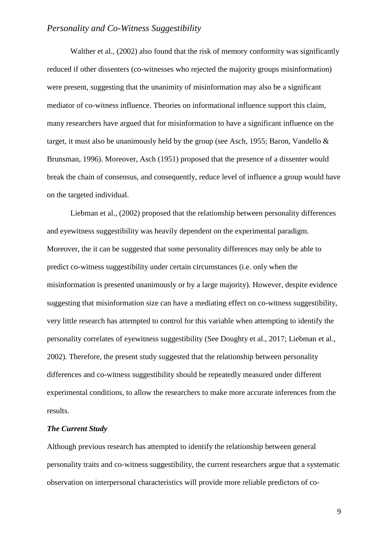Walther et al., (2002) also found that the risk of memory conformity was significantly reduced if other dissenters (co-witnesses who rejected the majority groups misinformation) were present, suggesting that the unanimity of misinformation may also be a significant mediator of co-witness influence. Theories on informational influence support this claim, many researchers have argued that for misinformation to have a significant influence on the target, it must also be unanimously held by the group (see Asch, 1955; Baron, Vandello & Brunsman, 1996). Moreover, Asch (1951) proposed that the presence of a dissenter would break the chain of consensus, and consequently, reduce level of influence a group would have on the targeted individual.

Liebman et al., (2002) proposed that the relationship between personality differences and eyewitness suggestibility was heavily dependent on the experimental paradigm. Moreover, the it can be suggested that some personality differences may only be able to predict co-witness suggestibility under certain circumstances (i.e. only when the misinformation is presented unanimously or by a large majority). However, despite evidence suggesting that misinformation size can have a mediating effect on co-witness suggestibility, very little research has attempted to control for this variable when attempting to identify the personality correlates of eyewitness suggestibility (See Doughty et al., 2017; Liebman et al., 2002). Therefore, the present study suggested that the relationship between personality differences and co-witness suggestibility should be repeatedly measured under different experimental conditions, to allow the researchers to make more accurate inferences from the results.

#### *The Current Study*

Although previous research has attempted to identify the relationship between general personality traits and co-witness suggestibility, the current researchers argue that a systematic observation on interpersonal characteristics will provide more reliable predictors of co-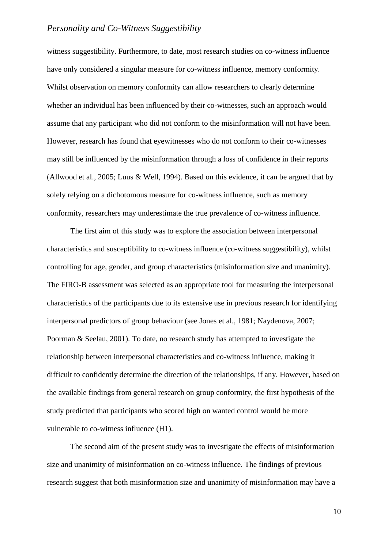witness suggestibility. Furthermore, to date, most research studies on co-witness influence have only considered a singular measure for co-witness influence, memory conformity. Whilst observation on memory conformity can allow researchers to clearly determine whether an individual has been influenced by their co-witnesses, such an approach would assume that any participant who did not conform to the misinformation will not have been. However, research has found that eyewitnesses who do not conform to their co-witnesses may still be influenced by the misinformation through a loss of confidence in their reports (Allwood et al., 2005; Luus & Well, 1994). Based on this evidence, it can be argued that by solely relying on a dichotomous measure for co-witness influence, such as memory conformity, researchers may underestimate the true prevalence of co-witness influence.

The first aim of this study was to explore the association between interpersonal characteristics and susceptibility to co-witness influence (co-witness suggestibility), whilst controlling for age, gender, and group characteristics (misinformation size and unanimity). The FIRO-B assessment was selected as an appropriate tool for measuring the interpersonal characteristics of the participants due to its extensive use in previous research for identifying interpersonal predictors of group behaviour (see Jones et al., 1981; Naydenova, 2007; Poorman & Seelau, 2001). To date, no research study has attempted to investigate the relationship between interpersonal characteristics and co-witness influence, making it difficult to confidently determine the direction of the relationships, if any. However, based on the available findings from general research on group conformity, the first hypothesis of the study predicted that participants who scored high on wanted control would be more vulnerable to co-witness influence (H1).

The second aim of the present study was to investigate the effects of misinformation size and unanimity of misinformation on co-witness influence. The findings of previous research suggest that both misinformation size and unanimity of misinformation may have a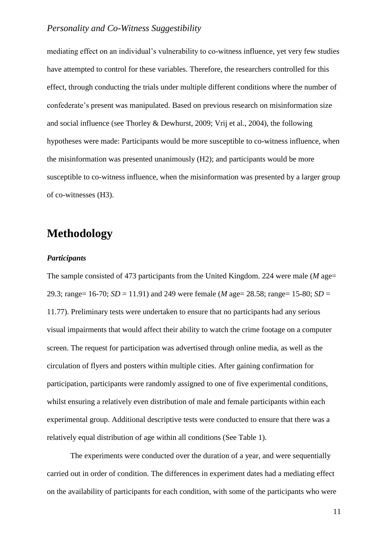mediating effect on an individual's vulnerability to co-witness influence, yet very few studies have attempted to control for these variables. Therefore, the researchers controlled for this effect, through conducting the trials under multiple different conditions where the number of confederate's present was manipulated. Based on previous research on misinformation size and social influence (see Thorley & Dewhurst, 2009; Vrij et al., 2004), the following hypotheses were made: Participants would be more susceptible to co-witness influence, when the misinformation was presented unanimously (H2); and participants would be more susceptible to co-witness influence, when the misinformation was presented by a larger group of co-witnesses (H3).

# **Methodology**

#### *Participants*

The sample consisted of 473 participants from the United Kingdom. 224 were male (*M* age= 29.3; range= 16-70; *SD* = 11.91) and 249 were female (*M* age= 28.58; range= 15-80; *SD* = 11.77). Preliminary tests were undertaken to ensure that no participants had any serious visual impairments that would affect their ability to watch the crime footage on a computer screen. The request for participation was advertised through online media, as well as the circulation of flyers and posters within multiple cities. After gaining confirmation for participation, participants were randomly assigned to one of five experimental conditions, whilst ensuring a relatively even distribution of male and female participants within each experimental group. Additional descriptive tests were conducted to ensure that there was a relatively equal distribution of age within all conditions (See Table 1).

The experiments were conducted over the duration of a year, and were sequentially carried out in order of condition. The differences in experiment dates had a mediating effect on the availability of participants for each condition, with some of the participants who were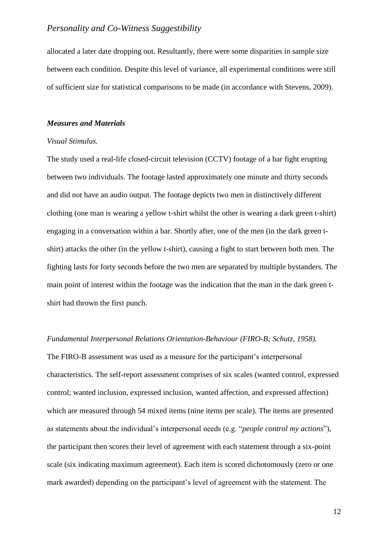allocated a later date dropping out. Resultantly, there were some disparities in sample size between each condition. Despite this level of variance, all experimental conditions were still of sufficient size for statistical comparisons to be made (in accordance with Stevens, 2009).

#### *Measures and Materials*

### *Visual Stimulus.*

The study used a real-life closed-circuit television (CCTV) footage of a bar fight erupting between two individuals. The footage lasted approximately one minute and thirty seconds and did not have an audio output. The footage depicts two men in distinctively different clothing (one man is wearing a yellow t-shirt whilst the other is wearing a dark green t-shirt) engaging in a conversation within a bar. Shortly after, one of the men (in the dark green tshirt) attacks the other (in the yellow t-shirt), causing a fight to start between both men. The fighting lasts for forty seconds before the two men are separated by multiple bystanders. The main point of interest within the footage was the indication that the man in the dark green tshirt had thrown the first punch.

### *Fundamental Interpersonal Relations Orientation-Behaviour (FIRO-B; Schutz, 1958).*

The FIRO-B assessment was used as a measure for the participant's interpersonal characteristics. The self-report assessment comprises of six scales (wanted control, expressed control; wanted inclusion, expressed inclusion, wanted affection, and expressed affection) which are measured through 54 mixed items (nine items per scale). The items are presented as statements about the individual's interpersonal needs (e.g. "*people control my actions*"), the participant then scores their level of agreement with each statement through a six-point scale (six indicating maximum agreement). Each item is scored dichotomously (zero or one mark awarded) depending on the participant's level of agreement with the statement. The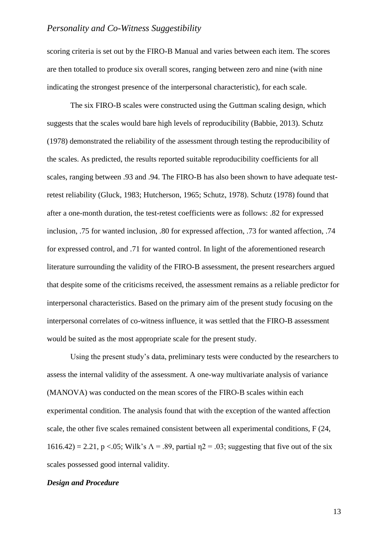scoring criteria is set out by the FIRO-B Manual and varies between each item. The scores are then totalled to produce six overall scores, ranging between zero and nine (with nine indicating the strongest presence of the interpersonal characteristic), for each scale.

The six FIRO-B scales were constructed using the Guttman scaling design, which suggests that the scales would bare high levels of reproducibility (Babbie, 2013). Schutz (1978) demonstrated the reliability of the assessment through testing the reproducibility of the scales. As predicted, the results reported suitable reproducibility coefficients for all scales, ranging between .93 and .94. The FIRO-B has also been shown to have adequate testretest reliability (Gluck, 1983; Hutcherson, 1965; Schutz, 1978). Schutz (1978) found that after a one-month duration, the test-retest coefficients were as follows: .82 for expressed inclusion, .75 for wanted inclusion, .80 for expressed affection, .73 for wanted affection, .74 for expressed control, and .71 for wanted control. In light of the aforementioned research literature surrounding the validity of the FIRO-B assessment, the present researchers argued that despite some of the criticisms received, the assessment remains as a reliable predictor for interpersonal characteristics. Based on the primary aim of the present study focusing on the interpersonal correlates of co-witness influence, it was settled that the FIRO-B assessment would be suited as the most appropriate scale for the present study.

Using the present study's data, preliminary tests were conducted by the researchers to assess the internal validity of the assessment. A one-way multivariate analysis of variance (MANOVA) was conducted on the mean scores of the FIRO-B scales within each experimental condition. The analysis found that with the exception of the wanted affection scale, the other five scales remained consistent between all experimental conditions, F (24,  $1616.42$ ) = 2.21, p <.05; Wilk's  $\Lambda$  = .89, partial  $\eta$ 2 = .03; suggesting that five out of the six scales possessed good internal validity.

### *Design and Procedure*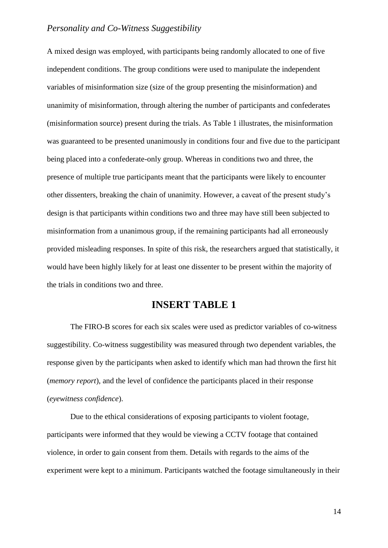A mixed design was employed, with participants being randomly allocated to one of five independent conditions. The group conditions were used to manipulate the independent variables of misinformation size (size of the group presenting the misinformation) and unanimity of misinformation, through altering the number of participants and confederates (misinformation source) present during the trials. As Table 1 illustrates, the misinformation was guaranteed to be presented unanimously in conditions four and five due to the participant being placed into a confederate-only group. Whereas in conditions two and three, the presence of multiple true participants meant that the participants were likely to encounter other dissenters, breaking the chain of unanimity. However, a caveat of the present study's design is that participants within conditions two and three may have still been subjected to misinformation from a unanimous group, if the remaining participants had all erroneously provided misleading responses. In spite of this risk, the researchers argued that statistically, it would have been highly likely for at least one dissenter to be present within the majority of the trials in conditions two and three.

## **INSERT TABLE 1**

The FIRO-B scores for each six scales were used as predictor variables of co-witness suggestibility. Co-witness suggestibility was measured through two dependent variables, the response given by the participants when asked to identify which man had thrown the first hit (*memory report*), and the level of confidence the participants placed in their response (*eyewitness confidence*).

Due to the ethical considerations of exposing participants to violent footage, participants were informed that they would be viewing a CCTV footage that contained violence, in order to gain consent from them. Details with regards to the aims of the experiment were kept to a minimum. Participants watched the footage simultaneously in their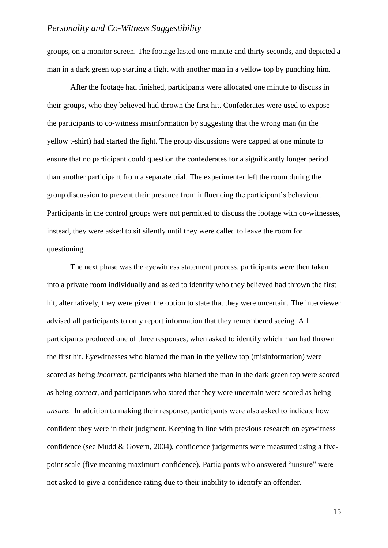groups, on a monitor screen. The footage lasted one minute and thirty seconds, and depicted a man in a dark green top starting a fight with another man in a yellow top by punching him.

After the footage had finished, participants were allocated one minute to discuss in their groups, who they believed had thrown the first hit. Confederates were used to expose the participants to co-witness misinformation by suggesting that the wrong man (in the yellow t-shirt) had started the fight. The group discussions were capped at one minute to ensure that no participant could question the confederates for a significantly longer period than another participant from a separate trial. The experimenter left the room during the group discussion to prevent their presence from influencing the participant's behaviour. Participants in the control groups were not permitted to discuss the footage with co-witnesses, instead, they were asked to sit silently until they were called to leave the room for questioning.

The next phase was the eyewitness statement process, participants were then taken into a private room individually and asked to identify who they believed had thrown the first hit, alternatively, they were given the option to state that they were uncertain. The interviewer advised all participants to only report information that they remembered seeing. All participants produced one of three responses, when asked to identify which man had thrown the first hit. Eyewitnesses who blamed the man in the yellow top (misinformation) were scored as being *incorrect*, participants who blamed the man in the dark green top were scored as being *correct*, and participants who stated that they were uncertain were scored as being *unsure*. In addition to making their response, participants were also asked to indicate how confident they were in their judgment. Keeping in line with previous research on eyewitness confidence (see Mudd & Govern, 2004), confidence judgements were measured using a fivepoint scale (five meaning maximum confidence). Participants who answered "unsure" were not asked to give a confidence rating due to their inability to identify an offender.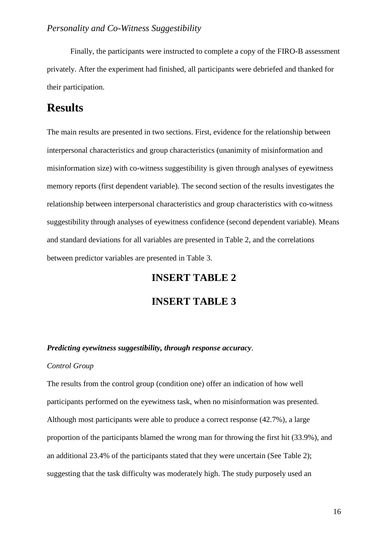Finally, the participants were instructed to complete a copy of the FIRO-B assessment privately. After the experiment had finished, all participants were debriefed and thanked for their participation.

# **Results**

The main results are presented in two sections. First, evidence for the relationship between interpersonal characteristics and group characteristics (unanimity of misinformation and misinformation size) with co-witness suggestibility is given through analyses of eyewitness memory reports (first dependent variable). The second section of the results investigates the relationship between interpersonal characteristics and group characteristics with co-witness suggestibility through analyses of eyewitness confidence (second dependent variable). Means and standard deviations for all variables are presented in Table 2, and the correlations between predictor variables are presented in Table 3.

# **INSERT TABLE 2**

## **INSERT TABLE 3**

### *Predicting eyewitness suggestibility, through response accuracy*.

### *Control Group*

The results from the control group (condition one) offer an indication of how well participants performed on the eyewitness task, when no misinformation was presented. Although most participants were able to produce a correct response (42.7%), a large proportion of the participants blamed the wrong man for throwing the first hit (33.9%), and an additional 23.4% of the participants stated that they were uncertain (See Table 2); suggesting that the task difficulty was moderately high. The study purposely used an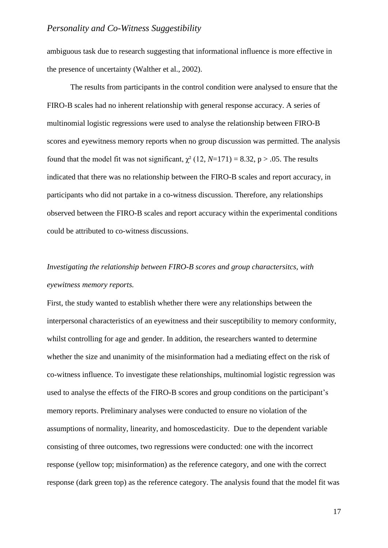ambiguous task due to research suggesting that informational influence is more effective in the presence of uncertainty (Walther et al., 2002).

The results from participants in the control condition were analysed to ensure that the FIRO-B scales had no inherent relationship with general response accuracy. A series of multinomial logistic regressions were used to analyse the relationship between FIRO-B scores and eyewitness memory reports when no group discussion was permitted. The analysis found that the model fit was not significant,  $\chi^2$  (12, *N*=171) = 8.32, p > .05. The results indicated that there was no relationship between the FIRO-B scales and report accuracy, in participants who did not partake in a co-witness discussion. Therefore, any relationships observed between the FIRO-B scales and report accuracy within the experimental conditions could be attributed to co-witness discussions.

# *Investigating the relationship between FIRO-B scores and group charactersitcs, with eyewitness memory reports.*

First, the study wanted to establish whether there were any relationships between the interpersonal characteristics of an eyewitness and their susceptibility to memory conformity, whilst controlling for age and gender. In addition, the researchers wanted to determine whether the size and unanimity of the misinformation had a mediating effect on the risk of co-witness influence. To investigate these relationships, multinomial logistic regression was used to analyse the effects of the FIRO-B scores and group conditions on the participant's memory reports. Preliminary analyses were conducted to ensure no violation of the assumptions of normality, linearity, and homoscedasticity. Due to the dependent variable consisting of three outcomes, two regressions were conducted: one with the incorrect response (yellow top; misinformation) as the reference category, and one with the correct response (dark green top) as the reference category. The analysis found that the model fit was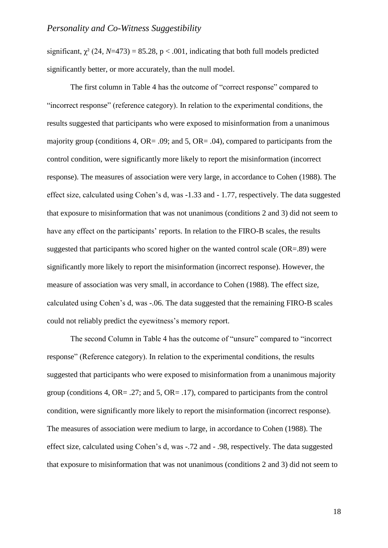significant,  $\gamma^2$  (24, *N*=473) = 85.28, p < .001, indicating that both full models predicted significantly better, or more accurately, than the null model.

The first column in Table 4 has the outcome of "correct response" compared to "incorrect response" (reference category). In relation to the experimental conditions, the results suggested that participants who were exposed to misinformation from a unanimous majority group (conditions 4, OR= .09; and 5, OR= .04), compared to participants from the control condition, were significantly more likely to report the misinformation (incorrect response). The measures of association were very large, in accordance to Cohen (1988). The effect size, calculated using Cohen's d, was -1.33 and - 1.77, respectively. The data suggested that exposure to misinformation that was not unanimous (conditions 2 and 3) did not seem to have any effect on the participants' reports. In relation to the FIRO-B scales, the results suggested that participants who scored higher on the wanted control scale (OR=.89) were significantly more likely to report the misinformation (incorrect response). However, the measure of association was very small, in accordance to Cohen (1988). The effect size, calculated using Cohen's d, was -.06. The data suggested that the remaining FIRO-B scales could not reliably predict the eyewitness's memory report.

The second Column in Table 4 has the outcome of "unsure" compared to "incorrect response" (Reference category). In relation to the experimental conditions, the results suggested that participants who were exposed to misinformation from a unanimous majority group (conditions 4, OR= .27; and 5, OR= .17), compared to participants from the control condition, were significantly more likely to report the misinformation (incorrect response). The measures of association were medium to large, in accordance to Cohen (1988). The effect size, calculated using Cohen's d, was -.72 and - .98, respectively. The data suggested that exposure to misinformation that was not unanimous (conditions 2 and 3) did not seem to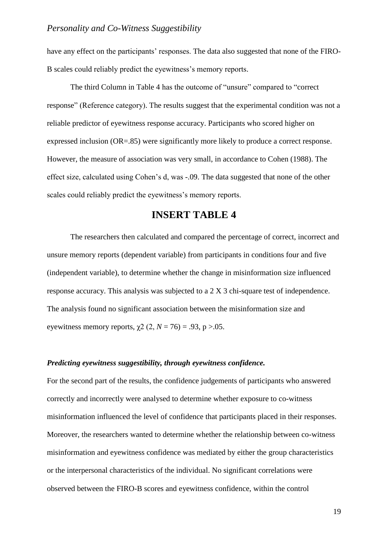have any effect on the participants' responses. The data also suggested that none of the FIRO-B scales could reliably predict the eyewitness's memory reports.

The third Column in Table 4 has the outcome of "unsure" compared to "correct response" (Reference category). The results suggest that the experimental condition was not a reliable predictor of eyewitness response accuracy. Participants who scored higher on expressed inclusion (OR=.85) were significantly more likely to produce a correct response. However, the measure of association was very small, in accordance to Cohen (1988). The effect size, calculated using Cohen's d, was -.09. The data suggested that none of the other scales could reliably predict the eyewitness's memory reports.

# **INSERT TABLE 4**

The researchers then calculated and compared the percentage of correct, incorrect and unsure memory reports (dependent variable) from participants in conditions four and five (independent variable), to determine whether the change in misinformation size influenced response accuracy. This analysis was subjected to a 2 X 3 chi-square test of independence. The analysis found no significant association between the misinformation size and eyewitness memory reports,  $\gamma$ 2 (2, *N* = 76) = .93, p >.05.

### *Predicting eyewitness suggestibility, through eyewitness confidence.*

For the second part of the results, the confidence judgements of participants who answered correctly and incorrectly were analysed to determine whether exposure to co-witness misinformation influenced the level of confidence that participants placed in their responses. Moreover, the researchers wanted to determine whether the relationship between co-witness misinformation and eyewitness confidence was mediated by either the group characteristics or the interpersonal characteristics of the individual. No significant correlations were observed between the FIRO-B scores and eyewitness confidence, within the control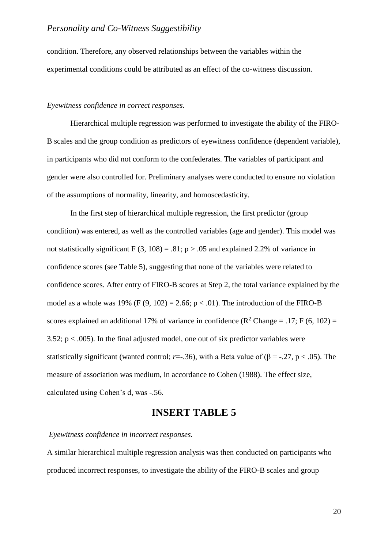condition. Therefore, any observed relationships between the variables within the experimental conditions could be attributed as an effect of the co-witness discussion.

#### *Eyewitness confidence in correct responses.*

Hierarchical multiple regression was performed to investigate the ability of the FIRO-B scales and the group condition as predictors of eyewitness confidence (dependent variable), in participants who did not conform to the confederates. The variables of participant and gender were also controlled for. Preliminary analyses were conducted to ensure no violation of the assumptions of normality, linearity, and homoscedasticity.

In the first step of hierarchical multiple regression, the first predictor (group condition) was entered, as well as the controlled variables (age and gender). This model was not statistically significant  $F(3, 108) = .81$ ; p > .05 and explained 2.2% of variance in confidence scores (see Table 5), suggesting that none of the variables were related to confidence scores. After entry of FIRO-B scores at Step 2, the total variance explained by the model as a whole was 19% (F  $(9, 102) = 2.66$ ; p < .01). The introduction of the FIRO-B scores explained an additional 17% of variance in confidence ( $\mathbb{R}^2$  Change = .17; F (6, 102) = 3.52;  $p < .005$ ). In the final adjusted model, one out of six predictor variables were statistically significant (wanted control; *r*=-.36), with a Beta value of ( $\beta$  = -.27, p < .05). The measure of association was medium, in accordance to Cohen (1988). The effect size, calculated using Cohen's d, was -.56.

# **INSERT TABLE 5**

#### *Eyewitness confidence in incorrect responses.*

A similar hierarchical multiple regression analysis was then conducted on participants who produced incorrect responses, to investigate the ability of the FIRO-B scales and group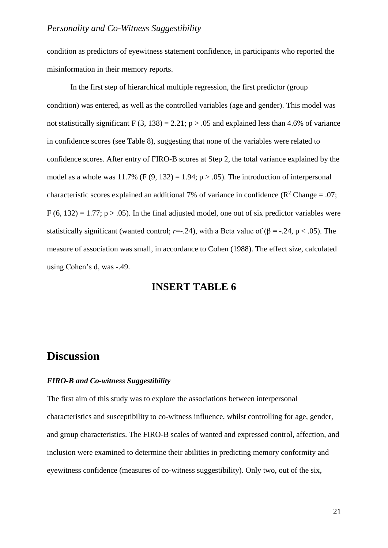condition as predictors of eyewitness statement confidence, in participants who reported the misinformation in their memory reports.

In the first step of hierarchical multiple regression, the first predictor (group condition) was entered, as well as the controlled variables (age and gender). This model was not statistically significant  $F(3, 138) = 2.21$ ;  $p > .05$  and explained less than 4.6% of variance in confidence scores (see Table 8), suggesting that none of the variables were related to confidence scores. After entry of FIRO-B scores at Step 2, the total variance explained by the model as a whole was 11.7% (F  $(9, 132) = 1.94$ ; p > .05). The introduction of interpersonal characteristic scores explained an additional 7% of variance in confidence ( $\mathbb{R}^2$  Change = .07;  $F(6, 132) = 1.77$ ;  $p > .05$ ). In the final adjusted model, one out of six predictor variables were statistically significant (wanted control; *r*=-.24), with a Beta value of ( $\beta$  = -.24, p < .05). The measure of association was small, in accordance to Cohen (1988). The effect size, calculated using Cohen's d, was -.49.

# **INSERT TABLE 6**

# **Discussion**

### *FIRO-B and Co-witness Suggestibility*

The first aim of this study was to explore the associations between interpersonal characteristics and susceptibility to co-witness influence, whilst controlling for age, gender, and group characteristics. The FIRO-B scales of wanted and expressed control, affection, and inclusion were examined to determine their abilities in predicting memory conformity and eyewitness confidence (measures of co-witness suggestibility). Only two, out of the six,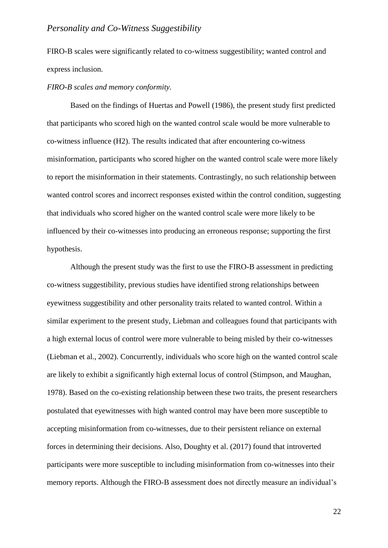FIRO-B scales were significantly related to co-witness suggestibility; wanted control and express inclusion.

#### *FIRO-B scales and memory conformity.*

Based on the findings of Huertas and Powell (1986), the present study first predicted that participants who scored high on the wanted control scale would be more vulnerable to co-witness influence (H2). The results indicated that after encountering co-witness misinformation, participants who scored higher on the wanted control scale were more likely to report the misinformation in their statements. Contrastingly, no such relationship between wanted control scores and incorrect responses existed within the control condition, suggesting that individuals who scored higher on the wanted control scale were more likely to be influenced by their co-witnesses into producing an erroneous response; supporting the first hypothesis.

Although the present study was the first to use the FIRO-B assessment in predicting co-witness suggestibility, previous studies have identified strong relationships between eyewitness suggestibility and other personality traits related to wanted control. Within a similar experiment to the present study, Liebman and colleagues found that participants with a high external locus of control were more vulnerable to being misled by their co-witnesses (Liebman et al., 2002). Concurrently, individuals who score high on the wanted control scale are likely to exhibit a significantly high external locus of control (Stimpson, and Maughan, 1978). Based on the co-existing relationship between these two traits, the present researchers postulated that eyewitnesses with high wanted control may have been more susceptible to accepting misinformation from co-witnesses, due to their persistent reliance on external forces in determining their decisions. Also, Doughty et al. (2017) found that introverted participants were more susceptible to including misinformation from co-witnesses into their memory reports. Although the FIRO-B assessment does not directly measure an individual's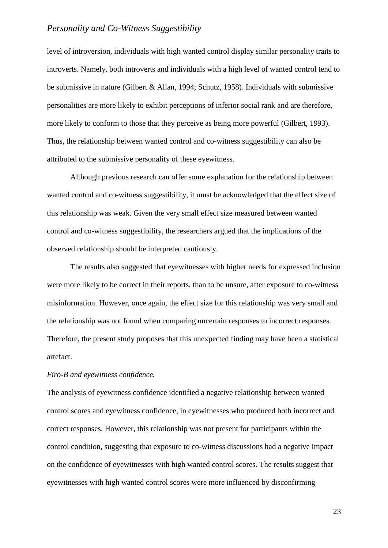level of introversion, individuals with high wanted control display similar personality traits to introverts. Namely, both introverts and individuals with a high level of wanted control tend to be submissive in nature (Gilbert & Allan, 1994; Schutz, 1958). Individuals with submissive personalities are more likely to exhibit perceptions of inferior social rank and are therefore, more likely to conform to those that they perceive as being more powerful (Gilbert, 1993). Thus, the relationship between wanted control and co-witness suggestibility can also be attributed to the submissive personality of these eyewitness.

Although previous research can offer some explanation for the relationship between wanted control and co-witness suggestibility, it must be acknowledged that the effect size of this relationship was weak. Given the very small effect size measured between wanted control and co-witness suggestibility, the researchers argued that the implications of the observed relationship should be interpreted cautiously.

The results also suggested that eyewitnesses with higher needs for expressed inclusion were more likely to be correct in their reports, than to be unsure, after exposure to co-witness misinformation. However, once again, the effect size for this relationship was very small and the relationship was not found when comparing uncertain responses to incorrect responses. Therefore, the present study proposes that this unexpected finding may have been a statistical artefact.

#### *Firo-B and eyewitness confidence.*

The analysis of eyewitness confidence identified a negative relationship between wanted control scores and eyewitness confidence, in eyewitnesses who produced both incorrect and correct responses. However, this relationship was not present for participants within the control condition, suggesting that exposure to co-witness discussions had a negative impact on the confidence of eyewitnesses with high wanted control scores. The results suggest that eyewitnesses with high wanted control scores were more influenced by disconfirming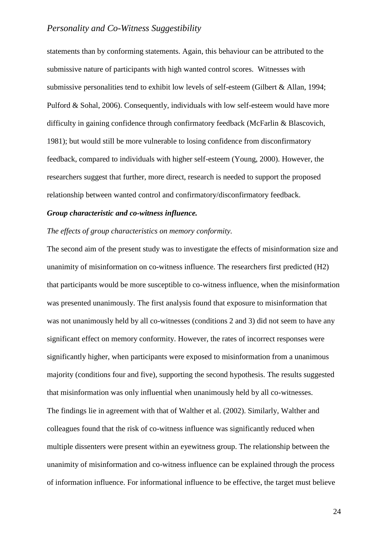statements than by conforming statements. Again, this behaviour can be attributed to the submissive nature of participants with high wanted control scores. Witnesses with submissive personalities tend to exhibit low levels of self-esteem (Gilbert & Allan, 1994; Pulford & Sohal, 2006). Consequently, individuals with low self-esteem would have more difficulty in gaining confidence through confirmatory feedback (McFarlin & Blascovich, 1981); but would still be more vulnerable to losing confidence from disconfirmatory feedback, compared to individuals with higher self-esteem (Young, 2000). However, the researchers suggest that further, more direct, research is needed to support the proposed relationship between wanted control and confirmatory/disconfirmatory feedback.

### *Group characteristic and co-witness influence.*

### *The effects of group characteristics on memory conformity.*

The second aim of the present study was to investigate the effects of misinformation size and unanimity of misinformation on co-witness influence. The researchers first predicted (H2) that participants would be more susceptible to co-witness influence, when the misinformation was presented unanimously. The first analysis found that exposure to misinformation that was not unanimously held by all co-witnesses (conditions 2 and 3) did not seem to have any significant effect on memory conformity. However, the rates of incorrect responses were significantly higher, when participants were exposed to misinformation from a unanimous majority (conditions four and five), supporting the second hypothesis. The results suggested that misinformation was only influential when unanimously held by all co-witnesses. The findings lie in agreement with that of Walther et al. (2002). Similarly, Walther and colleagues found that the risk of co-witness influence was significantly reduced when multiple dissenters were present within an eyewitness group. The relationship between the unanimity of misinformation and co-witness influence can be explained through the process of information influence. For informational influence to be effective, the target must believe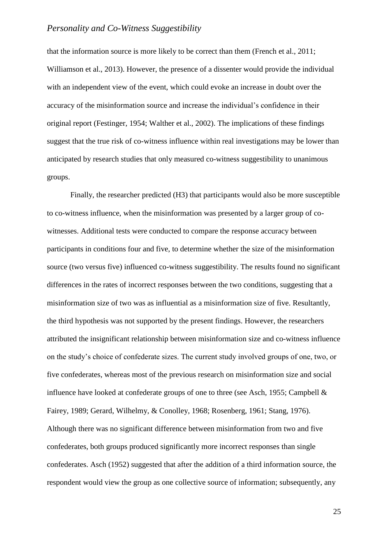that the information source is more likely to be correct than them (French et al., 2011; Williamson et al., 2013). However, the presence of a dissenter would provide the individual with an independent view of the event, which could evoke an increase in doubt over the accuracy of the misinformation source and increase the individual's confidence in their original report (Festinger, 1954; Walther et al., 2002). The implications of these findings suggest that the true risk of co-witness influence within real investigations may be lower than anticipated by research studies that only measured co-witness suggestibility to unanimous groups.

Finally, the researcher predicted (H3) that participants would also be more susceptible to co-witness influence, when the misinformation was presented by a larger group of cowitnesses. Additional tests were conducted to compare the response accuracy between participants in conditions four and five, to determine whether the size of the misinformation source (two versus five) influenced co-witness suggestibility. The results found no significant differences in the rates of incorrect responses between the two conditions, suggesting that a misinformation size of two was as influential as a misinformation size of five. Resultantly, the third hypothesis was not supported by the present findings. However, the researchers attributed the insignificant relationship between misinformation size and co-witness influence on the study's choice of confederate sizes. The current study involved groups of one, two, or five confederates, whereas most of the previous research on misinformation size and social influence have looked at confederate groups of one to three (see Asch, 1955; Campbell & Fairey, 1989; Gerard, Wilhelmy, & Conolley, 1968; Rosenberg, 1961; Stang, 1976). Although there was no significant difference between misinformation from two and five confederates, both groups produced significantly more incorrect responses than single confederates. Asch (1952) suggested that after the addition of a third information source, the respondent would view the group as one collective source of information; subsequently, any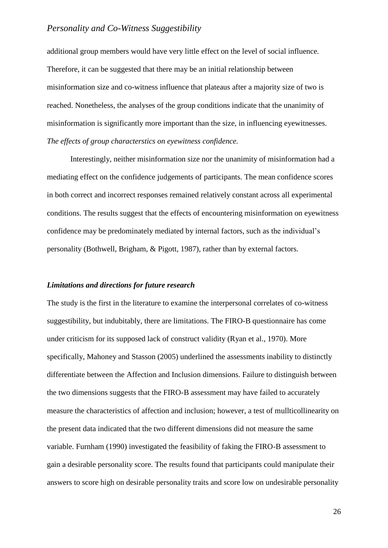additional group members would have very little effect on the level of social influence. Therefore, it can be suggested that there may be an initial relationship between misinformation size and co-witness influence that plateaus after a majority size of two is reached. Nonetheless, the analyses of the group conditions indicate that the unanimity of misinformation is significantly more important than the size, in influencing eyewitnesses. *The effects of group characterstics on eyewitness confidence.*

Interestingly, neither misinformation size nor the unanimity of misinformation had a mediating effect on the confidence judgements of participants. The mean confidence scores in both correct and incorrect responses remained relatively constant across all experimental conditions. The results suggest that the effects of encountering misinformation on eyewitness confidence may be predominately mediated by internal factors, such as the individual's personality (Bothwell, Brigham, & Pigott, 1987), rather than by external factors.

#### *Limitations and directions for future research*

The study is the first in the literature to examine the interpersonal correlates of co-witness suggestibility, but indubitably, there are limitations. The FIRO-B questionnaire has come under criticism for its supposed lack of construct validity (Ryan et al., 1970). More specifically, Mahoney and Stasson (2005) underlined the assessments inability to distinctly differentiate between the Affection and Inclusion dimensions. Failure to distinguish between the two dimensions suggests that the FIRO-B assessment may have failed to accurately measure the characteristics of affection and inclusion; however, a test of mullticollinearity on the present data indicated that the two different dimensions did not measure the same variable. Furnham (1990) investigated the feasibility of faking the FIRO-B assessment to gain a desirable personality score. The results found that participants could manipulate their answers to score high on desirable personality traits and score low on undesirable personality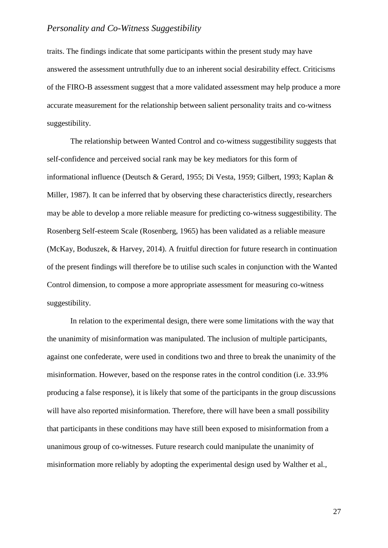traits. The findings indicate that some participants within the present study may have answered the assessment untruthfully due to an inherent social desirability effect. Criticisms of the FIRO-B assessment suggest that a more validated assessment may help produce a more accurate measurement for the relationship between salient personality traits and co-witness suggestibility.

The relationship between Wanted Control and co-witness suggestibility suggests that self-confidence and perceived social rank may be key mediators for this form of informational influence (Deutsch & Gerard, 1955; Di Vesta, 1959; Gilbert, 1993; Kaplan & Miller, 1987). It can be inferred that by observing these characteristics directly, researchers may be able to develop a more reliable measure for predicting co-witness suggestibility. The Rosenberg Self-esteem Scale (Rosenberg, 1965) has been validated as a reliable measure (McKay, Boduszek, & Harvey, 2014). A fruitful direction for future research in continuation of the present findings will therefore be to utilise such scales in conjunction with the Wanted Control dimension, to compose a more appropriate assessment for measuring co-witness suggestibility.

In relation to the experimental design, there were some limitations with the way that the unanimity of misinformation was manipulated. The inclusion of multiple participants, against one confederate, were used in conditions two and three to break the unanimity of the misinformation. However, based on the response rates in the control condition (i.e. 33.9% producing a false response), it is likely that some of the participants in the group discussions will have also reported misinformation. Therefore, there will have been a small possibility that participants in these conditions may have still been exposed to misinformation from a unanimous group of co-witnesses. Future research could manipulate the unanimity of misinformation more reliably by adopting the experimental design used by Walther et al.,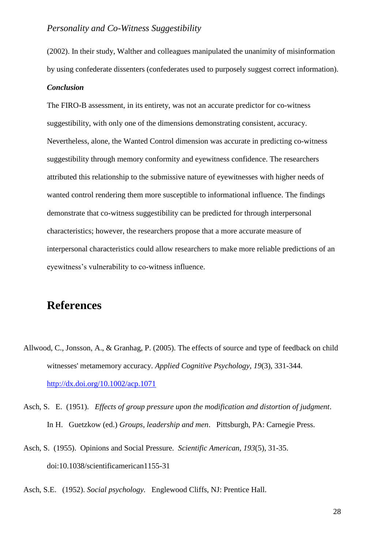(2002). In their study, Walther and colleagues manipulated the unanimity of misinformation by using confederate dissenters (confederates used to purposely suggest correct information).

### *Conclusion*

The FIRO-B assessment, in its entirety, was not an accurate predictor for co-witness suggestibility, with only one of the dimensions demonstrating consistent, accuracy. Nevertheless, alone, the Wanted Control dimension was accurate in predicting co-witness suggestibility through memory conformity and eyewitness confidence. The researchers attributed this relationship to the submissive nature of eyewitnesses with higher needs of wanted control rendering them more susceptible to informational influence. The findings demonstrate that co-witness suggestibility can be predicted for through interpersonal characteristics; however, the researchers propose that a more accurate measure of interpersonal characteristics could allow researchers to make more reliable predictions of an eyewitness's vulnerability to co-witness influence.

# **References**

- Allwood, C., Jonsson, A., & Granhag, P. (2005). The effects of source and type of feedback on child witnesses' metamemory accuracy. *Applied Cognitive Psychology*, *19*(3), 331-344. <http://dx.doi.org/10.1002/acp.1071>
- Asch, S. E. (1951). *Effects of group pressure upon the modification and distortion of judgment*. In H. Guetzkow (ed.) *Groups, leadership and men*. Pittsburgh, PA: Carnegie Press.
- Asch, S. (1955). Opinions and Social Pressure. *Scientific American*, *193*(5), 31-35. doi:10.1038/scientificamerican1155-31
- Asch, S.E. (1952). *Social psychology.* Englewood Cliffs, NJ: Prentice Hall.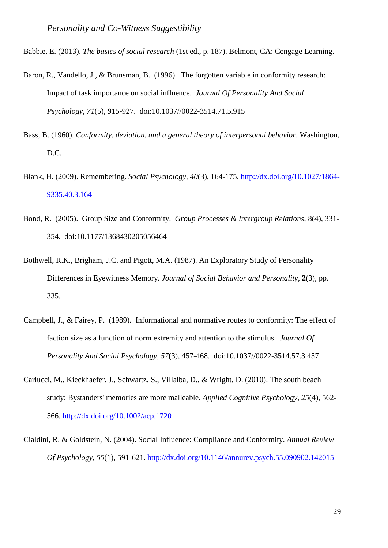Babbie, E. (2013). *The basics of social research* (1st ed., p. 187). Belmont, CA: Cengage Learning.

- Baron, R., Vandello, J., & Brunsman, B. (1996). The forgotten variable in conformity research: Impact of task importance on social influence. *Journal Of Personality And Social Psychology*, *71*(5), 915-927. doi:10.1037//0022-3514.71.5.915
- Bass, B. (1960). *Conformity, deviation, and a general theory of interpersonal behavior*. Washington, D.C.
- Blank, H. (2009). Remembering. *Social Psychology*, *40*(3), 164-175. [http://dx.doi.org/10.1027/1864-](http://dx.doi.org/10.1027/1864-9335.40.3.164) [9335.40.3.164](http://dx.doi.org/10.1027/1864-9335.40.3.164)
- Bond, R. (2005). Group Size and Conformity. *Group Processes & Intergroup Relations*, 8(4), 331- 354. doi:10.1177/1368430205056464
- Bothwell, R.K., Brigham, J.C. and Pigott, M.A. (1987). An Exploratory Study of Personality Differences in Eyewitness Memory. *Journal of Social Behavior and Personality,* **2**(3), pp. 335.
- Campbell, J., & Fairey, P. (1989). Informational and normative routes to conformity: The effect of faction size as a function of norm extremity and attention to the stimulus. *Journal Of Personality And Social Psychology*, *57*(3), 457-468. doi:10.1037//0022-3514.57.3.457
- Carlucci, M., Kieckhaefer, J., Schwartz, S., Villalba, D., & Wright, D. (2010). The south beach study: Bystanders' memories are more malleable. *Applied Cognitive Psychology*, *25*(4), 562- 566.<http://dx.doi.org/10.1002/acp.1720>
- Cialdini, R. & Goldstein, N. (2004). Social Influence: Compliance and Conformity. *Annual Review Of Psychology*, *55*(1), 591-621.<http://dx.doi.org/10.1146/annurev.psych.55.090902.142015>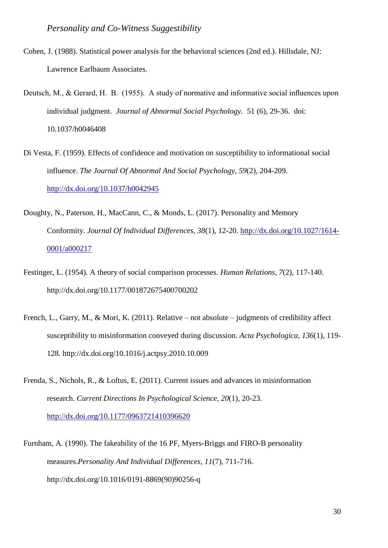- Cohen, J. (1988). Statistical power analysis for the behavioral sciences (2nd ed.). Hillsdale, NJ: Lawrence Earlbaum Associates.
- Deutsch, M., & Gerard, H. B. (1955). A study of normative and informative social influences upon individual judgment. *Journal of Abnormal Social Psychology.* 51 (6), 29-36. doi: 10.1037/h0046408
- Di Vesta, F. (1959). Effects of confidence and motivation on susceptibility to informational social influence. *The Journal Of Abnormal And Social Psychology*, *59*(2), 204-209. <http://dx.doi.org/10.1037/h0042945>
- Doughty, N., Paterson, H., MacCann, C., & Monds, L. (2017). Personality and Memory Conformity. *Journal Of Individual Differences*, *38*(1), 12-20. [http://dx.doi.org/10.1027/1614-](http://dx.doi.org/10.1027/1614-0001/a000217) [0001/a000217](http://dx.doi.org/10.1027/1614-0001/a000217)
- Festinger, L. (1954). A theory of social comparison processes. *Human Relations*, *7*(2), 117-140. http://dx.doi.org/10.1177/001872675400700202
- French, L., Garry, M., & Mori, K. (2011). Relative not absolute judgments of credibility affect susceptibility to misinformation conveyed during discussion. *Acta Psychologica*, *136*(1), 119- 128. http://dx.doi.org/10.1016/j.actpsy.2010.10.009
- Frenda, S., Nichols, R., & Loftus, E. (2011). Current issues and advances in misinformation research. *Current Directions In Psychological Science*, *20*(1), 20-23. <http://dx.doi.org/10.1177/0963721410396620>

Furnham, A. (1990). The fakeability of the 16 PF, Myers-Briggs and FIRO-B personality measures.*Personality And Individual Differences*, *11*(7), 711-716. http://dx.doi.org/10.1016/0191-8869(90)90256-q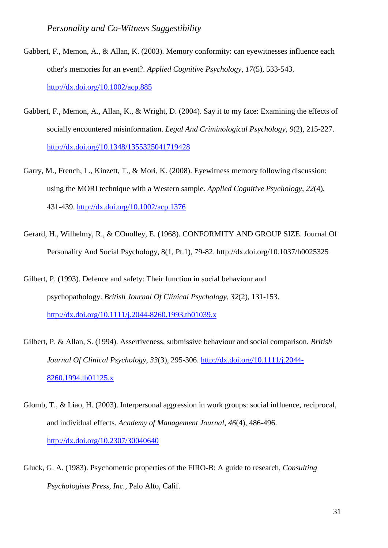- Gabbert, F., Memon, A., & Allan, K. (2003). Memory conformity: can eyewitnesses influence each other's memories for an event?. *Applied Cognitive Psychology*, *17*(5), 533-543. <http://dx.doi.org/10.1002/acp.885>
- Gabbert, F., Memon, A., Allan, K., & Wright, D. (2004). Say it to my face: Examining the effects of socially encountered misinformation. *Legal And Criminological Psychology*, *9*(2), 215-227. <http://dx.doi.org/10.1348/1355325041719428>
- Garry, M., French, L., Kinzett, T., & Mori, K. (2008). Eyewitness memory following discussion: using the MORI technique with a Western sample. *Applied Cognitive Psychology*, *22*(4), 431-439.<http://dx.doi.org/10.1002/acp.1376>
- Gerard, H., Wilhelmy, R., & COnolley, E. (1968). CONFORMITY AND GROUP SIZE. Journal Of Personality And Social Psychology, 8(1, Pt.1), 79-82. http://dx.doi.org/10.1037/h0025325
- Gilbert, P. (1993). Defence and safety: Their function in social behaviour and psychopathology. *British Journal Of Clinical Psychology*, *32*(2), 131-153. <http://dx.doi.org/10.1111/j.2044-8260.1993.tb01039.x>
- Gilbert, P. & Allan, S. (1994). Assertiveness, submissive behaviour and social comparison. *British Journal Of Clinical Psychology*, *33*(3), 295-306. [http://dx.doi.org/10.1111/j.2044-](http://dx.doi.org/10.1111/j.2044-8260.1994.tb01125.x) [8260.1994.tb01125.x](http://dx.doi.org/10.1111/j.2044-8260.1994.tb01125.x)
- Glomb, T., & Liao, H. (2003). Interpersonal aggression in work groups: social influence, reciprocal, and individual effects. *Academy of Management Journal*, *46*(4), 486-496. <http://dx.doi.org/10.2307/30040640>
- Gluck, G. A. (1983). Psychometric properties of the FIRO-B: A guide to research, *Consulting Psychologists Press, Inc.,* Palo Alto, Calif.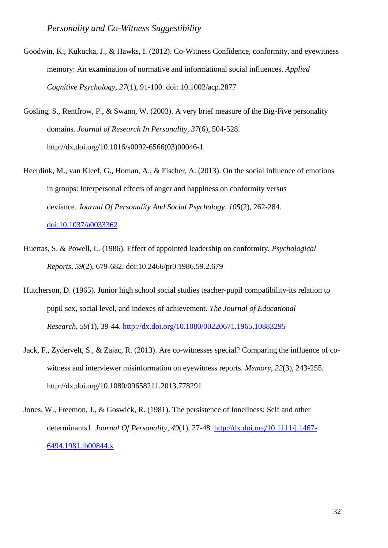- Goodwin, K., Kukucka, J., & Hawks, I. (2012). Co-Witness Confidence, conformity, and eyewitness memory: An examination of normative and informational social influences. *Applied Cognitive Psychology*, *27*(1), 91-100. doi: 10.1002/acp.2877
- Gosling, S., Rentfrow, P., & Swann, W. (2003). A very brief measure of the Big-Five personality domains. *Journal of Research In Personality*, *37*(6), 504-528. http://dx.doi.org/10.1016/s0092-6566(03)00046-1
- Heerdink, M., van Kleef, G., Homan, A., & Fischer, A. (2013). On the social influence of emotions in groups: Interpersonal effects of anger and happiness on conformity versus deviance. *Journal Of Personality And Social Psychology*, *105*(2), 262-284. [doi:10.1037/a0033362](http://dx.doi.org/10.1037/a0033362)

- Huertas, S. & Powell, L. (1986). Effect of appointed leadership on conformity. *Psychological Reports*, *59*(2), 679-682. doi:10.2466/pr0.1986.59.2.679
- Hutcherson, D. (1965). Junior high school social studies teacher-pupil compatibility-its relation to pupil sex, social level, and indexes of achievement. *The Journal of Educational Research*, *59*(1), 39-44.<http://dx.doi.org/10.1080/00220671.1965.10883295>
- Jack, F., Zydervelt, S., & Zajac, R. (2013). Are co-witnesses special? Comparing the influence of cowitness and interviewer misinformation on eyewitness reports. *Memory*, *22*(3), 243-255. http://dx.doi.org/10.1080/09658211.2013.778291
- Jones, W., Freemon, J., & Goswick, R. (1981). The persistence of loneliness: Self and other determinants1. *Journal Of Personality*, *49*(1), 27-48. [http://dx.doi.org/10.1111/j.1467-](http://dx.doi.org/10.1111/j.1467-6494.1981.tb00844.x) [6494.1981.tb00844.x](http://dx.doi.org/10.1111/j.1467-6494.1981.tb00844.x)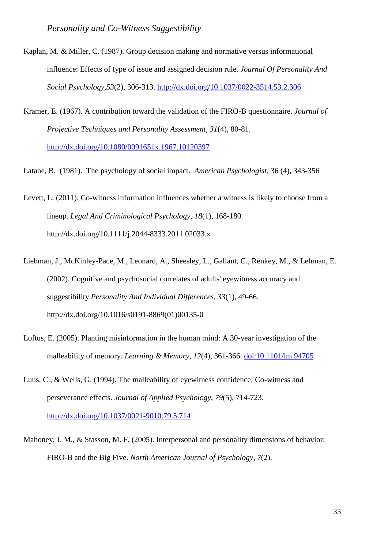- Kaplan, M. & Miller, C. (1987). Group decision making and normative versus informational influence: Effects of type of issue and assigned decision rule. *Journal Of Personality And Social Psychology*,*53*(2), 306-313.<http://dx.doi.org/10.1037/0022-3514.53.2.306>
- Kramer, E. (1967). A contribution toward the validation of the FIRO-B questionnaire. *Journal of Projective Techniques and Personality Assessment*, *31*(4), 80-81. <http://dx.doi.org/10.1080/0091651x.1967.10120397>
- Latane, B. (1981). The psychology of social impact. *American Psychologist,* 36 (4), 343-356
- Levett, L. (2011). Co-witness information influences whether a witness is likely to choose from a lineup. *Legal And Criminological Psychology*, *18*(1), 168-180. http://dx.doi.org/10.1111/j.2044-8333.2011.02033.x
- Liebman, J., McKinley-Pace, M., Leonard, A., Sheesley, L., Gallant, C., Renkey, M., & Lehman, E. (2002). Cognitive and psychosocial correlates of adults' eyewitness accuracy and suggestibility.*Personality And Individual Differences*, *33*(1), 49-66. http://dx.doi.org/10.1016/s0191-8869(01)00135-0
- Loftus, E. (2005). Planting misinformation in the human mind: A 30-year investigation of the malleability of memory. *Learning & Memory*, *12*(4), 361-366. [doi:10.1101/lm.94705](http://dx.doi.org/10.1101/lm.94705)
- Luus, C., & Wells, G. (1994). The malleability of eyewitness confidence: Co-witness and perseverance effects. *Journal of Applied Psychology*, *79*(5), 714-723. <http://dx.doi.org/10.1037/0021-9010.79.5.714>
- Mahoney, J. M., & Stasson, M. F. (2005). Interpersonal and personality dimensions of behavior: FIRO-B and the Big Five. *North American Journal of Psychology*, *7*(2).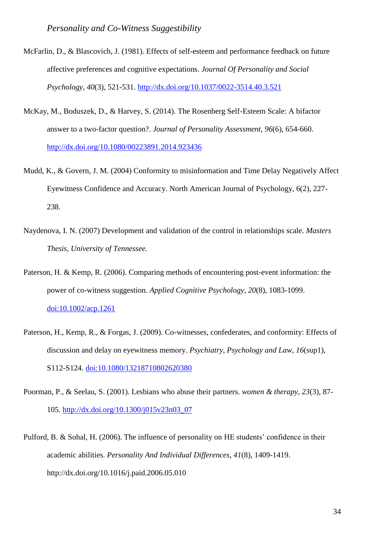- McFarlin, D., & Blascovich, J. (1981). Effects of self-esteem and performance feedback on future affective preferences and cognitive expectations. *Journal Of Personality and Social Psychology*, *40*(3), 521-531.<http://dx.doi.org/10.1037/0022-3514.40.3.521>
- McKay, M., Boduszek, D., & Harvey, S. (2014). The Rosenberg Self-Esteem Scale: A bifactor answer to a two-factor question?. *Journal of Personality Assessment*, *96*(6), 654-660. <http://dx.doi.org/10.1080/00223891.2014.923436>
- Mudd, K., & Govern, J. M. (2004) Conformity to misinformation and Time Delay Negatively Affect Eyewitness Confidence and Accuracy. North American Journal of Psychology, 6(2), 227- 238.
- Naydenova, I. N. (2007) Development and validation of the control in relationships scale. *Masters Thesis, University of Tennessee.*
- Paterson, H. & Kemp, R. (2006). Comparing methods of encountering post-event information: the power of co-witness suggestion. *Applied Cognitive Psychology*, *20*(8), 1083-1099. [doi:10.1002/acp.1261](http://dx.doi.org/10.1002/acp.1261)
- Paterson, H., Kemp, R., & Forgas, J. (2009). Co-witnesses, confederates, and conformity: Effects of discussion and delay on eyewitness memory. *Psychiatry, Psychology and Law*, *16*(sup1), S112-S124. [doi:10.1080/13218710802620380](http://dx.doi.org/10.1080/13218710802620380)
- Poorman, P., & Seelau, S. (2001). Lesbians who abuse their partners. *women & therapy*, *23*(3), 87- 105. [http://dx.doi.org/10.1300/j015v23n03\\_07](http://dx.doi.org/10.1300/j015v23n03_07)
- Pulford, B. & Sohal, H. (2006). The influence of personality on HE students' confidence in their academic abilities. *Personality And Individual Differences*, *41*(8), 1409-1419. http://dx.doi.org/10.1016/j.paid.2006.05.010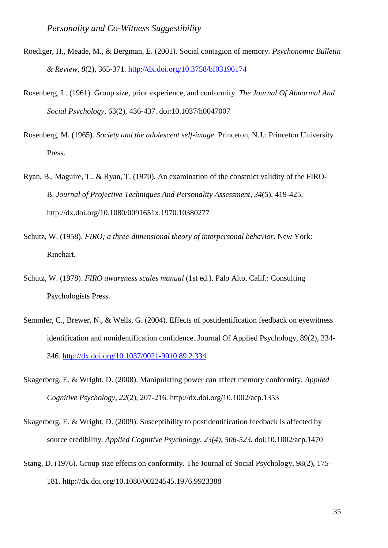- Roediger, H., Meade, M., & Bergman, E. (2001). Social contagion of memory. *Psychonomic Bulletin & Review*, *8*(2), 365-371.<http://dx.doi.org/10.3758/bf03196174>
- Rosenberg, L. (1961). Group size, prior experience, and conformity. *The Journal Of Abnormal And Social Psychology,* 63(2), 436-437. doi:10.1037/h0047007
- Rosenberg, M. (1965). *Society and the adolescent self-image*. Princeton, N.J.: Princeton University Press.
- Ryan, B., Maguire, T., & Ryan, T. (1970). An examination of the construct validity of the FIRO-B. *Journal of Projective Techniques And Personality Assessment*, *34*(5), 419-425. http://dx.doi.org/10.1080/0091651x.1970.10380277
- Schutz, W. (1958). *FIRO; a three-dimensional theory of interpersonal behavior*. New York: Rinehart.
- Schutz, W. (1978). *FIRO awareness scales manual* (1st ed.). Palo Alto, Calif.: Consulting Psychologists Press.
- Semmler, C., Brewer, N., & Wells, G. (2004). Effects of postidentification feedback on eyewitness identification and nonidentification confidence. Journal Of Applied Psychology, 89(2), 334- 346.<http://dx.doi.org/10.1037/0021-9010.89.2.334>
- Skagerberg, E. & Wright, D. (2008). Manipulating power can affect memory conformity. *Applied Cognitive Psychology*, *22*(2), 207-216. http://dx.doi.org/10.1002/acp.1353
- Skagerberg, E. & Wright, D. (2009). Susceptibility to postidentification feedback is affected by source credibility*. Applied Cognitive Psychology, 23(4), 506-523.* doi:10.1002/acp.1470
- Stang, D. (1976). Group size effects on conformity. The Journal of Social Psychology, 98(2), 175- 181. http://dx.doi.org/10.1080/00224545.1976.9923388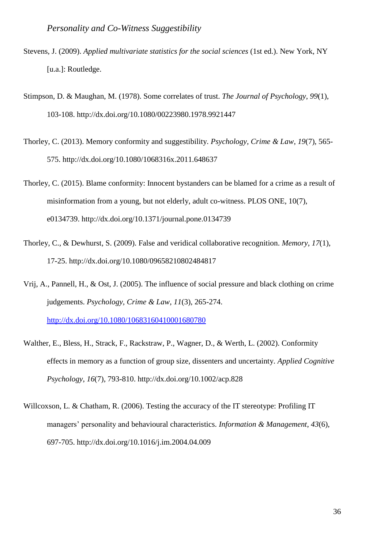- Stevens, J. (2009). *Applied multivariate statistics for the social sciences* (1st ed.). New York, NY [u.a.]: Routledge.
- Stimpson, D. & Maughan, M. (1978). Some correlates of trust. *The Journal of Psychology*, *99*(1), 103-108. http://dx.doi.org/10.1080/00223980.1978.9921447
- Thorley, C. (2013). Memory conformity and suggestibility. *Psychology, Crime & Law*, *19*(7), 565- 575. http://dx.doi.org/10.1080/1068316x.2011.648637
- Thorley, C. (2015). Blame conformity: Innocent bystanders can be blamed for a crime as a result of misinformation from a young, but not elderly, adult co-witness. PLOS ONE, 10(7), e0134739. http://dx.doi.org/10.1371/journal.pone.0134739
- Thorley, C., & Dewhurst, S. (2009). False and veridical collaborative recognition. *Memory*, *17*(1), 17-25. http://dx.doi.org/10.1080/09658210802484817
- Vrij, A., Pannell, H., & Ost, J. (2005). The influence of social pressure and black clothing on crime judgements. *Psychology, Crime & Law*, *11*(3), 265-274. <http://dx.doi.org/10.1080/10683160410001680780>
- Walther, E., Bless, H., Strack, F., Rackstraw, P., Wagner, D., & Werth, L. (2002). Conformity effects in memory as a function of group size, dissenters and uncertainty. *Applied Cognitive Psychology*, *16*(7), 793-810. http://dx.doi.org/10.1002/acp.828
- Willcoxson, L. & Chatham, R. (2006). Testing the accuracy of the IT stereotype: Profiling IT managers' personality and behavioural characteristics. *Information & Management*, *43*(6), 697-705. http://dx.doi.org/10.1016/j.im.2004.04.009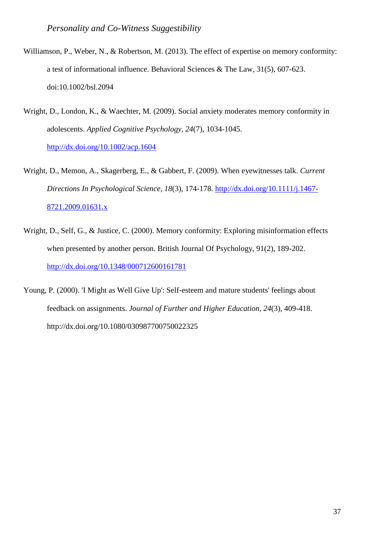- Williamson, P., Weber, N., & Robertson, M. (2013). The effect of expertise on memory conformity: a test of informational influence. Behavioral Sciences & The Law, 31(5), 607-623. doi:10.1002/bsl.2094
- Wright, D., London, K., & Waechter, M. (2009). Social anxiety moderates memory conformity in adolescents. *Applied Cognitive Psychology*, *24*(7), 1034-1045. <http://dx.doi.org/10.1002/acp.1604>
- Wright, D., Memon, A., Skagerberg, E., & Gabbert, F. (2009). When eyewitnesses talk. *Current Directions In Psychological Science*, *18*(3), 174-178. [http://dx.doi.org/10.1111/j.1467-](http://dx.doi.org/10.1111/j.1467-8721.2009.01631.x) [8721.2009.01631.x](http://dx.doi.org/10.1111/j.1467-8721.2009.01631.x)
- Wright, D., Self, G., & Justice, C. (2000). Memory conformity: Exploring misinformation effects when presented by another person. British Journal Of Psychology, 91(2), 189-202. <http://dx.doi.org/10.1348/000712600161781>
- Young, P. (2000). 'I Might as Well Give Up': Self-esteem and mature students' feelings about feedback on assignments. *Journal of Further and Higher Education*, *24*(3), 409-418. http://dx.doi.org/10.1080/030987700750022325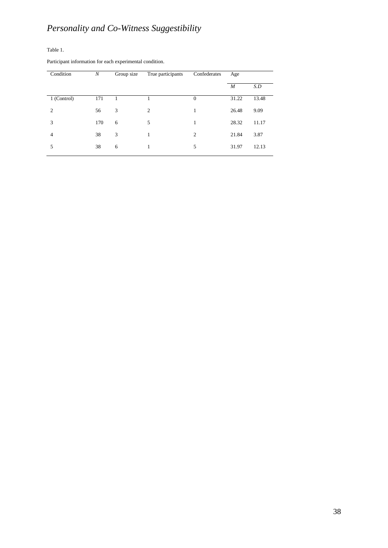Table 1.

Participant information for each experimental condition.

| Condition      | N   | Group size | True participants | Confederates   | Age   |       |
|----------------|-----|------------|-------------------|----------------|-------|-------|
|                |     |            |                   |                | M     | S.D   |
| 1 (Control)    | 171 |            |                   | $\theta$       | 31.22 | 13.48 |
| $\overline{c}$ | 56  | 3          | 2                 | 1              | 26.48 | 9.09  |
| 3              | 170 | 6          | 5                 | 1              | 28.32 | 11.17 |
| $\overline{4}$ | 38  | 3          |                   | $\overline{2}$ | 21.84 | 3.87  |
| 5              | 38  | 6          | 1                 | 5              | 31.97 | 12.13 |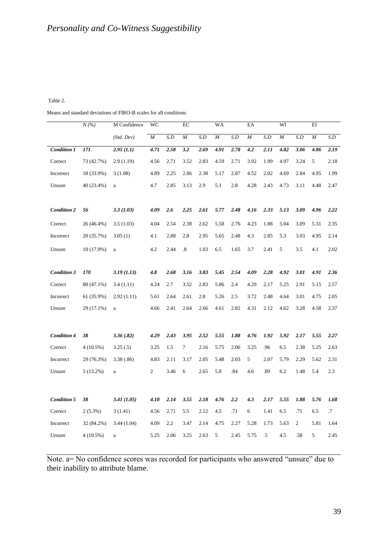#### Table 2.

Means and standard deviations of FIRO-B scales for all conditions

|                    | $N(\% )$    | M Confidence | WC             |      | EC                |      | WA               |      | EA               |      | WI               |                | EI               |      |
|--------------------|-------------|--------------|----------------|------|-------------------|------|------------------|------|------------------|------|------------------|----------------|------------------|------|
|                    |             | (Std. Dev)   | $\cal M$       | S.D  | $\cal M$          | S.D  | $\boldsymbol{M}$ | S.D  | $\boldsymbol{M}$ | S.D  | $\boldsymbol{M}$ | S.D            | $\boldsymbol{M}$ | S.D  |
| <b>Condition 1</b> | 171         | 2.95(1.1)    | 4.71           | 2.58 | 3.2               | 2.69 | 4.91             | 2.78 | 4.2              | 2.11 | 4.82             | 3.06           | 4.86             | 2.19 |
| Correct            | 73 (42.7%)  | 2.9(1.19)    | 4.56           | 2.71 | 3.52              | 2.83 | 4.59             | 2.71 | 3.92             | 1.99 | 4.97             | 3.24           | 5                | 2.18 |
| Incorrect          | 58 (33.9%)  | 3(1.08)      | 4.89           | 2.25 | 2.86              | 2.38 | 5.17             | 2.87 | 4.52             | 2.02 | 4.69             | 2.84           | 4.95             | 1.99 |
| Unsure             | 40 (23.4%)  | $\rm{a}$     | 4.7            | 2.85 | 3.13              | 2.9  | 5.1              | 2.8  | 4.28             | 2.43 | 4.73             | 3.11           | 4.48             | 2.47 |
|                    |             |              |                |      |                   |      |                  |      |                  |      |                  |                |                  |      |
| <b>Condition 2</b> | 56          | 3.3(1.03)    | 4.09           | 2.6  | 2.25              | 2.61 | 5.77             | 2.48 | 4.16             | 2.33 | 5.13             | 3.09           | 4.96             | 2.22 |
| Correct            | 26 (46.4%)  | 3.5(1.03)    | 4.04           | 2.54 | 2.38              | 2.62 | 5.58             | 2.76 | 4.23             | 1.88 | 5.04             | 3.09           | 5.31             | 2.35 |
| Incorrect          | 20 (35.7%)  | 3.05(1)      | 4.1            | 2.88 | 2.8               | 2.95 | 5.65             | 2.48 | 4.3              | 2.85 | 5.3              | 3.03           | 4.95             | 2.14 |
| Unsure             | 10 (17.9%)  | $\mathbf{a}$ | 4.2            | 2.44 | $\boldsymbol{.8}$ | 1.03 | 6.5              | 1.65 | 3.7              | 2.41 | 5                | 3.5            | 4.1              | 2.02 |
|                    |             |              |                |      |                   |      |                  |      |                  |      |                  |                |                  |      |
| <b>Condition 3</b> | 170         | 3.19(1.13)   | 4.8            | 2.68 | 3.16              | 3.83 | 5.45             | 2.54 | 4.09             | 2.28 | 4.92             | 3.01           | 4.91             | 2.36 |
| Correct            | 80 (47.1%)  | 3.4(1.11)    | 4.24           | 2.7  | 3.52              | 2.83 | 5.86             | 2.4  | 4.29             | 2.17 | 5.25             | 2.91           | 5.15             | 2.57 |
| Incorrect          | 61 (35.9%)  | 2.92(1.11)   | 5.61           | 2.64 | 2.61              | 2.8  | 5.26             | 2.5  | 3.72             | 2.48 | 4.64             | 3.01           | 4.75             | 2.05 |
| Unsure             | 29 (17.1%)  | $\rm{a}$     | 4.66           | 2.41 | 2.64              | 2.66 | 4.61             | 2.82 | 4.31             | 2.12 | 4.62             | 3.28           | 4.58             | 2.37 |
|                    |             |              |                |      |                   |      |                  |      |                  |      |                  |                |                  |      |
| <b>Condition 4</b> | 38          | 3.36(.82)    | 4.29           | 2.43 | 3.95              | 2.52 | 5.55             | 1.88 | 4.76             | 1.92 | 5.92             | 2.17           | 5.55             | 2.27 |
| Correct            | $4(10.5\%)$ | 3.25(.5)     | 3.25           | 1.5  | $\tau$            | 2.16 | 5.75             | 2.06 | 3.25             | .96  | 6.5              | 2.38           | 5.25             | 2.63 |
| Incorrect          | 29 (76.3%)  | 3.38(.86)    | 4.83           | 2.11 | 3.17              | 2.05 | 5.48             | 2.03 | 5                | 2.07 | 5.79             | 2.29           | 5.62             | 2.31 |
| Unsure             | $5(13.2\%)$ | $\rm{a}$     | $\overline{c}$ | 3.46 | 6                 | 2.65 | 5.8              | .84  | 4.6              | .89  | 6.2              | 1.48           | 5.4              | 2.3  |
|                    |             |              |                |      |                   |      |                  |      |                  |      |                  |                |                  |      |
| <b>Condition 5</b> | 38          | 3.41(1.05)   | 4.18           | 2.14 | 3.55              | 2.18 | 4.76             | 2.2  | 4.3              | 2.17 | 5.55             | 1.88           | 5.76             | 1.68 |
| Correct            | $2(5.3\%)$  | 3(1.41)      | 4.56           | 2.71 | 5.5               | 2.12 | 4.5              | .71  | 6                | 1.41 | 6.5              | .71            | 6.5              | .7   |
| Incorrect          | 32 (84.2%)  | 3.44(1.04)   | 4.09           | 2.2  | 3.47              | 2.14 | 4.75             | 2.27 | 5.28             | 1.73 | 5.63             | $\overline{2}$ | 5.81             | 1.64 |
| Unsure             |             |              | 5.25           | 2.06 |                   |      |                  |      |                  |      |                  |                |                  |      |

Note. a= No confidence scores was recorded for participants who answered "unsure" due to their inability to attribute blame.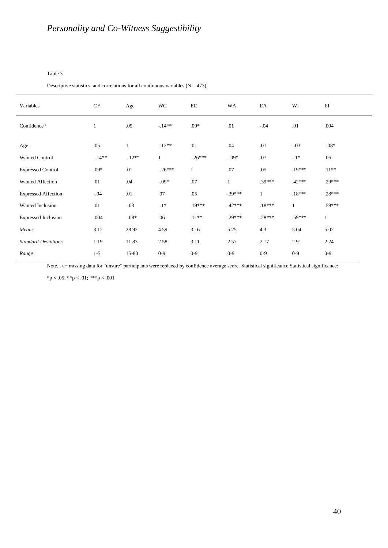#### Table 3

Descriptive statistics, and correlations for all continuous variables  $(N = 473)$ .

| Variables                  | C <sup>a</sup> | Age          | WC           | EC           | WA           | EA           | WI           | EI           |
|----------------------------|----------------|--------------|--------------|--------------|--------------|--------------|--------------|--------------|
| Confidence <sup>a</sup>    | $\mathbf{1}$   | .05          | $-14**$      | $.09*$       | .01          | $-.04$       | .01          | .004         |
| Age                        | .05            | $\mathbf{1}$ | $-.12**$     | .01          | .04          | .01          | $-.03$       | $-0.08*$     |
| Wanted Control             | $-14**$        | $-12**$      | $\mathbf{1}$ | $-.26***$    | $-0.09*$     | .07          | $-1*$        | .06          |
| <b>Expressed Control</b>   | $.09*$         | .01          | $-.26***$    | $\mathbf{1}$ | .07          | .05          | $.19***$     | $.11**$      |
| Wanted Affection           | .01            | .04          | $-0.09*$     | .07          | $\mathbf{1}$ | $.39***$     | $.42***$     | $.29***$     |
| <b>Expressed Affection</b> | $-.04$         | .01          | .07          | .05          | $.39***$     | $\mathbf{1}$ | $.18***$     | $.28***$     |
| Wanted Inclusion           | .01            | $-.03$       | $-.1*$       | $.19***$     | $.42***$     | $.18***$     | $\mathbf{1}$ | $.59***$     |
| <b>Expressed Inclusion</b> | .004           | $-08*$       | .06          | $.11**$      | $.29***$     | $.28***$     | $.59***$     | $\mathbf{1}$ |
| Means                      | 3.12           | 28.92        | 4.59         | 3.16         | 5.25         | 4.3          | 5.04         | 5.02         |
| <b>Standard Deviations</b> | 1.19           | 11.83        | 2.58         | 3.11         | 2.57         | 2.17         | 2.91         | 2.24         |
| Range                      | $1 - 5$        | 15-80        | $0-9$        | $0-9$        | $0 - 9$      | $0 - 9$      | $0 - 9$      | $0 - 9$      |

Note. . a= missing data for "unsure" participants were replaced by confidence average score. Statistical significance Statistical significance:

\*p < .05; \*\*p < .01; \*\*\*p < .001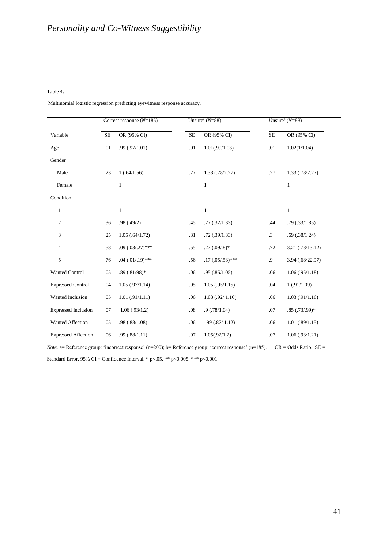#### Table 4.

Multinomial logistic regression predicting eyewitness response accuracy.

|                            | Correct response $(N=185)$ |                       |           | Unsure <sup>a</sup> $(N=88)$ | Unsure <sup>b</sup> ( $N=88$ ) |                     |  |
|----------------------------|----------------------------|-----------------------|-----------|------------------------------|--------------------------------|---------------------|--|
| Variable                   | <b>SE</b>                  | OR (95% CI)           | <b>SE</b> | OR (95% CI)                  | $\overline{\text{SE}}$         | OR (95% CI)         |  |
| Age                        | .01                        | .99(0.97/1.01)        | .01       | 1.01(.99/1.03)               | .01                            | 1.02(1/1.04)        |  |
| Gender                     |                            |                       |           |                              |                                |                     |  |
| Male                       | .23                        | 1(.64/1.56)           | .27       | 1.33(.78/2.27)               | .27                            | $1.33$ $(.78/2.27)$ |  |
| Female                     |                            | $\mathbf{1}$          |           | $\mathbf{1}$                 |                                | $\mathbf{1}$        |  |
| Condition                  |                            |                       |           |                              |                                |                     |  |
| 1                          |                            | $\mathbf{1}$          |           | $\mathbf{1}$                 |                                | $\mathbf{1}$        |  |
| $\overline{c}$             | .36                        | .98(.49/2)            | .45       | .77(.32/1.33)                | .44                            | .79(.33/1.85)       |  |
| 3                          | .25                        | 1.05(.64/1.72)        | .31       | .72(.39/1.33)                | $\cdot$ 3                      | .69(.38/1.24)       |  |
| $\overline{4}$             | .58                        | $.09(.03/.27)$ ***    | .55       | $.27(.09/.8)*$               | .72                            | 3.21(.78/13.12)     |  |
| 5                          | .76                        | $.04$ $(.01/.19)$ *** | .56       | $.17(.05/.53)$ ***           | .9                             | 3.94 (.68/22.97)    |  |
| <b>Wanted Control</b>      | .05                        | $.89(.81/98)*$        | .06       | .95(.85/1.05)                | .06                            | 1.06(.95/1.18)      |  |
| <b>Expressed Control</b>   | .04                        | 1.05(.97/1.14)        | .05       | 1.05(.95/1.15)               | .04                            | 1(.91/1.09)         |  |
| Wanted Inclusion           | .05                        | 1.01(.91/1.11)        | .06       | $1.03$ (.92/ 1.16)           | .06                            | 1.03(.91/1.16)      |  |
| <b>Expressed Inclusion</b> | .07                        | 1.06(.93/1.2)         | .08       | .9(0.78/1.04)                | .07                            | $.85(.73/.99)*$     |  |
| <b>Wanted Affection</b>    | .05                        | .98(.88/1.08)         | .06       | .99(.87/1.12)                | .06                            | 1.01(.89/1.15)      |  |
| <b>Expressed Affection</b> | .06                        | .99(.88/1.11)         | .07       | 1.05(.92/1.2)                | .07                            | 1.06(.93/1.21)      |  |

*Note.* a= Reference group: 'incorrect response' (n=200); b= Reference group: 'correct response' (n=185). OR = Odds Ratio. SE =

Standard Error. 95% CI = Confidence Interval. \* p<.05. \*\* p<0.005. \*\*\* p<0.001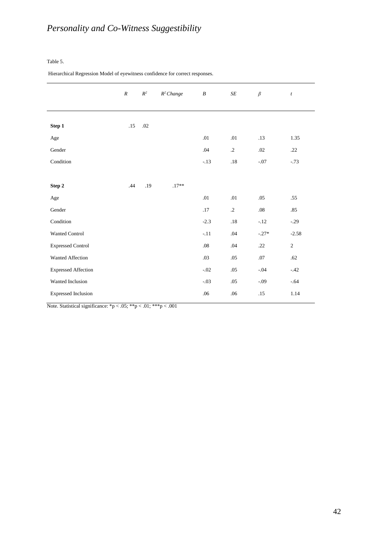#### Table 5.

Hierarchical Regression Model of eyewitness confidence for correct responses.

|                            | $\boldsymbol{R}$ | $R^2$ | $R^2$ Change | $\boldsymbol{B}$ | $\cal SE$  | $\beta$ | $\boldsymbol{t}$ |
|----------------------------|------------------|-------|--------------|------------------|------------|---------|------------------|
|                            |                  |       |              |                  |            |         |                  |
| Step 1                     | .15              | .02   |              |                  |            |         |                  |
| $_{\rm Age}$               |                  |       |              | .01              | .01        | .13     | 1.35             |
| Gender                     |                  |       |              | .04              | $\cdot$ .2 | .02     | .22              |
| Condition                  |                  |       |              | $-.13$           | .18        | $-.07$  | $-.73$           |
|                            |                  |       |              |                  |            |         |                  |
| Step 2                     | .44              | .19   | $.17**$      |                  |            |         |                  |
| $_{\rm Age}$               |                  |       |              | .01              | .01        | .05     | .55              |
| Gender                     |                  |       |              | .17              | $\cdot$ .2 | $.08\,$ | .85              |
| Condition                  |                  |       |              | $-2.3$           | .18        | $-12$   | $-.29$           |
| Wanted Control             |                  |       |              | $-.11$           | .04        | $-.27*$ | $-2.58$          |
| <b>Expressed Control</b>   |                  |       |              | $.08\,$          | .04        | .22     | $\sqrt{2}$       |
| Wanted Affection           |                  |       |              | .03              | .05        | $.07$   | .62              |
| <b>Expressed Affection</b> |                  |       |              | $-.02$           | .05        | $-.04$  | $-.42$           |
| Wanted Inclusion           |                  |       |              | $-.03$           | .05        | $-.09$  | $-.64$           |
| <b>Expressed Inclusion</b> |                  |       |              | .06              | .06        | .15     | 1.14             |

Note. Statistical significance:  ${}^*p < .05$ ;  ${}^{**}p < .01$ ;  ${}^{***}p < .001$ 

 $\overline{\phantom{a}}$